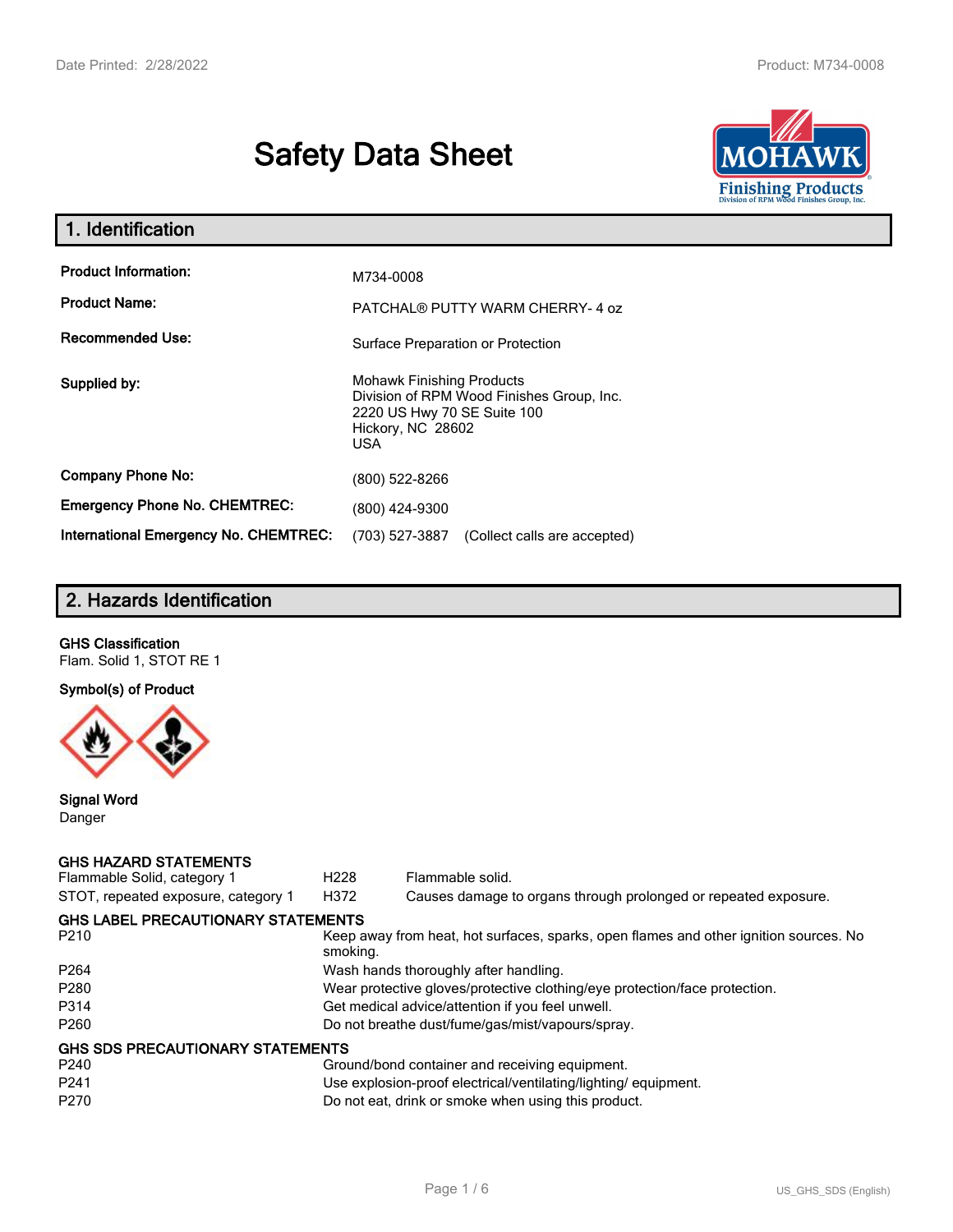# **Safety Data Sheet**



| 1. Identification                     |                                                                                                                                          |
|---------------------------------------|------------------------------------------------------------------------------------------------------------------------------------------|
| <b>Product Information:</b>           | M734-0008                                                                                                                                |
| <b>Product Name:</b>                  | PATCHAL® PUTTY WARM CHERRY-4 oz                                                                                                          |
| <b>Recommended Use:</b>               | Surface Preparation or Protection                                                                                                        |
| Supplied by:                          | <b>Mohawk Finishing Products</b><br>Division of RPM Wood Finishes Group, Inc.<br>2220 US Hwy 70 SE Suite 100<br>Hickory, NC 28602<br>USA |
| <b>Company Phone No:</b>              | (800) 522-8266                                                                                                                           |
| <b>Emergency Phone No. CHEMTREC:</b>  | (800) 424-9300                                                                                                                           |
| International Emergency No. CHEMTREC: | (703) 527-3887<br>(Collect calls are accepted)                                                                                           |

# **2. Hazards Identification**

# **GHS Classification**

Flam. Solid 1, STOT RE 1

# **Symbol(s) of Product**



## **Signal Word** Danger

## **GHS HAZARD STATEMENTS**

| Flammable Solid, category 1               | H <sub>228</sub>                                                           | Flammable solid.                                                                      |  |  |
|-------------------------------------------|----------------------------------------------------------------------------|---------------------------------------------------------------------------------------|--|--|
| STOT, repeated exposure, category 1       | H372                                                                       | Causes damage to organs through prolonged or repeated exposure.                       |  |  |
| <b>GHS LABEL PRECAUTIONARY STATEMENTS</b> |                                                                            |                                                                                       |  |  |
| P <sub>210</sub>                          | smoking.                                                                   | Keep away from heat, hot surfaces, sparks, open flames and other ignition sources. No |  |  |
| P <sub>264</sub>                          |                                                                            | Wash hands thoroughly after handling.                                                 |  |  |
| P <sub>280</sub>                          | Wear protective gloves/protective clothing/eye protection/face protection. |                                                                                       |  |  |
| P314                                      | Get medical advice/attention if you feel unwell.                           |                                                                                       |  |  |
| P <sub>260</sub>                          | Do not breathe dust/fume/gas/mist/vapours/spray.                           |                                                                                       |  |  |
| <b>GHS SDS PRECAUTIONARY STATEMENTS</b>   |                                                                            |                                                                                       |  |  |
| P <sub>240</sub>                          |                                                                            | Ground/bond container and receiving equipment.                                        |  |  |
| P <sub>241</sub>                          |                                                                            | Use explosion-proof electrical/ventilating/lighting/equipment.                        |  |  |
| P <sub>270</sub>                          | Do not eat, drink or smoke when using this product.                        |                                                                                       |  |  |
|                                           |                                                                            |                                                                                       |  |  |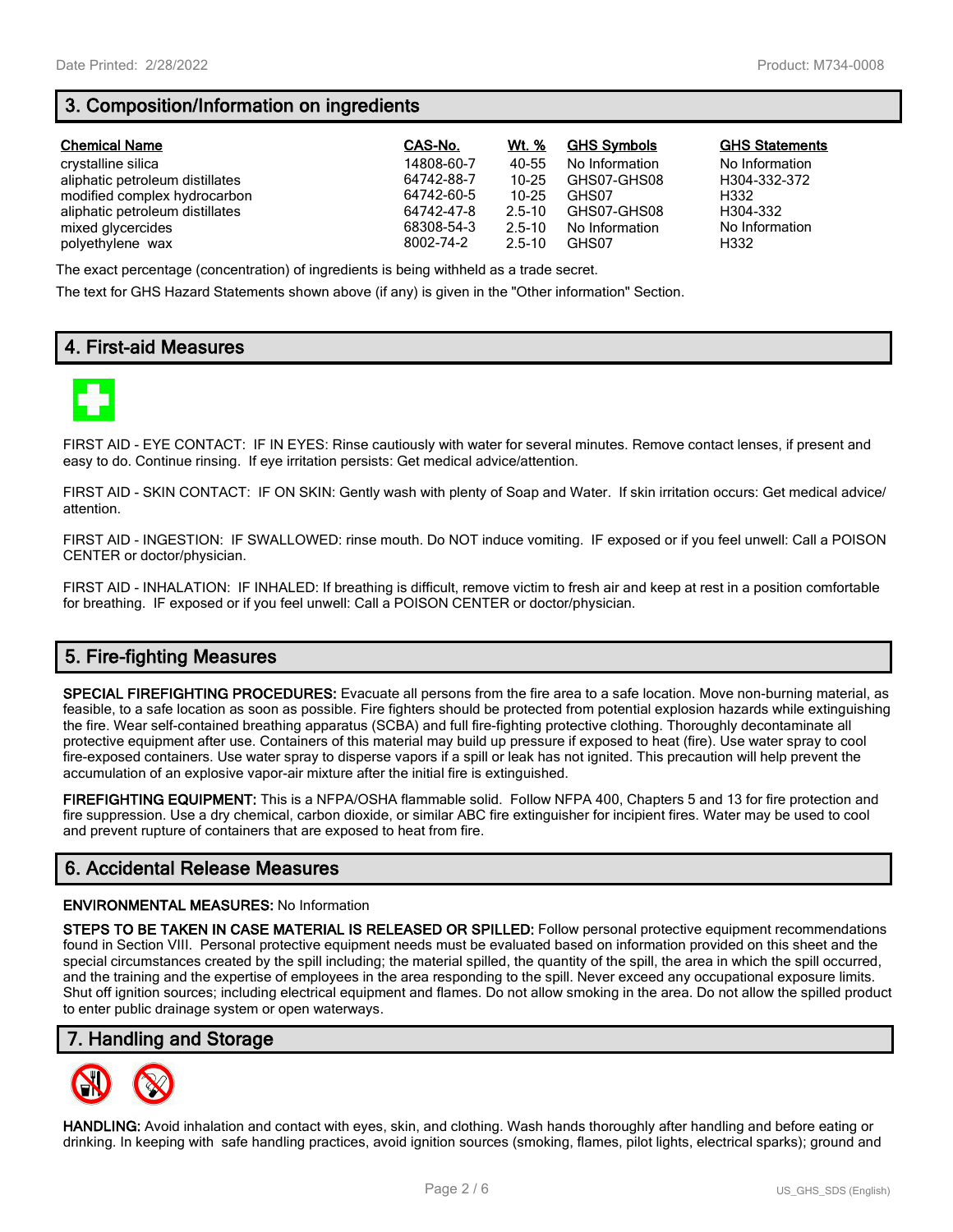# **3. Composition/Information on ingredients**

| <b>Chemical Name</b>            | CAS-No.    | Wt. %      | <b>GHS Symbols</b> | <b>GHS Statements</b> |
|---------------------------------|------------|------------|--------------------|-----------------------|
| crystalline silica              | 14808-60-7 | 40-55      | No Information     | No Information        |
| aliphatic petroleum distillates | 64742-88-7 | 10-25      | GHS07-GHS08        | H304-332-372          |
| modified complex hydrocarbon    | 64742-60-5 | 10-25      | GHS07              | H332                  |
| aliphatic petroleum distillates | 64742-47-8 | $2.5 - 10$ | GHS07-GHS08        | H304-332              |
| mixed glycercides               | 68308-54-3 | $2.5 - 10$ | No Information     | No Information        |
| polyethylene wax                | 8002-74-2  | $2.5 - 10$ | GHS07              | H332                  |

The exact percentage (concentration) of ingredients is being withheld as a trade secret.

The text for GHS Hazard Statements shown above (if any) is given in the "Other information" Section.

# **4. First-aid Measures**



FIRST AID - EYE CONTACT: IF IN EYES: Rinse cautiously with water for several minutes. Remove contact lenses, if present and easy to do. Continue rinsing. If eye irritation persists: Get medical advice/attention.

FIRST AID - SKIN CONTACT: IF ON SKIN: Gently wash with plenty of Soap and Water. If skin irritation occurs: Get medical advice/ attention.

FIRST AID - INGESTION: IF SWALLOWED: rinse mouth. Do NOT induce vomiting. IF exposed or if you feel unwell: Call a POISON CENTER or doctor/physician.

FIRST AID - INHALATION: IF INHALED: If breathing is difficult, remove victim to fresh air and keep at rest in a position comfortable for breathing. IF exposed or if you feel unwell: Call a POISON CENTER or doctor/physician.

# **5. Fire-fighting Measures**

**SPECIAL FIREFIGHTING PROCEDURES:** Evacuate all persons from the fire area to a safe location. Move non-burning material, as feasible, to a safe location as soon as possible. Fire fighters should be protected from potential explosion hazards while extinguishing the fire. Wear self-contained breathing apparatus (SCBA) and full fire-fighting protective clothing. Thoroughly decontaminate all protective equipment after use. Containers of this material may build up pressure if exposed to heat (fire). Use water spray to cool fire-exposed containers. Use water spray to disperse vapors if a spill or leak has not ignited. This precaution will help prevent the accumulation of an explosive vapor-air mixture after the initial fire is extinguished.

**FIREFIGHTING EQUIPMENT:** This is a NFPA/OSHA flammable solid. Follow NFPA 400, Chapters 5 and 13 for fire protection and fire suppression. Use a dry chemical, carbon dioxide, or similar ABC fire extinguisher for incipient fires. Water may be used to cool and prevent rupture of containers that are exposed to heat from fire.

## **6. Accidental Release Measures**

#### **ENVIRONMENTAL MEASURES:** No Information

**STEPS TO BE TAKEN IN CASE MATERIAL IS RELEASED OR SPILLED:** Follow personal protective equipment recommendations found in Section VIII. Personal protective equipment needs must be evaluated based on information provided on this sheet and the special circumstances created by the spill including; the material spilled, the quantity of the spill, the area in which the spill occurred, and the training and the expertise of employees in the area responding to the spill. Never exceed any occupational exposure limits. Shut off ignition sources; including electrical equipment and flames. Do not allow smoking in the area. Do not allow the spilled product to enter public drainage system or open waterways.

## **7. Handling and Storage**



**HANDLING:** Avoid inhalation and contact with eyes, skin, and clothing. Wash hands thoroughly after handling and before eating or drinking. In keeping with safe handling practices, avoid ignition sources (smoking, flames, pilot lights, electrical sparks); ground and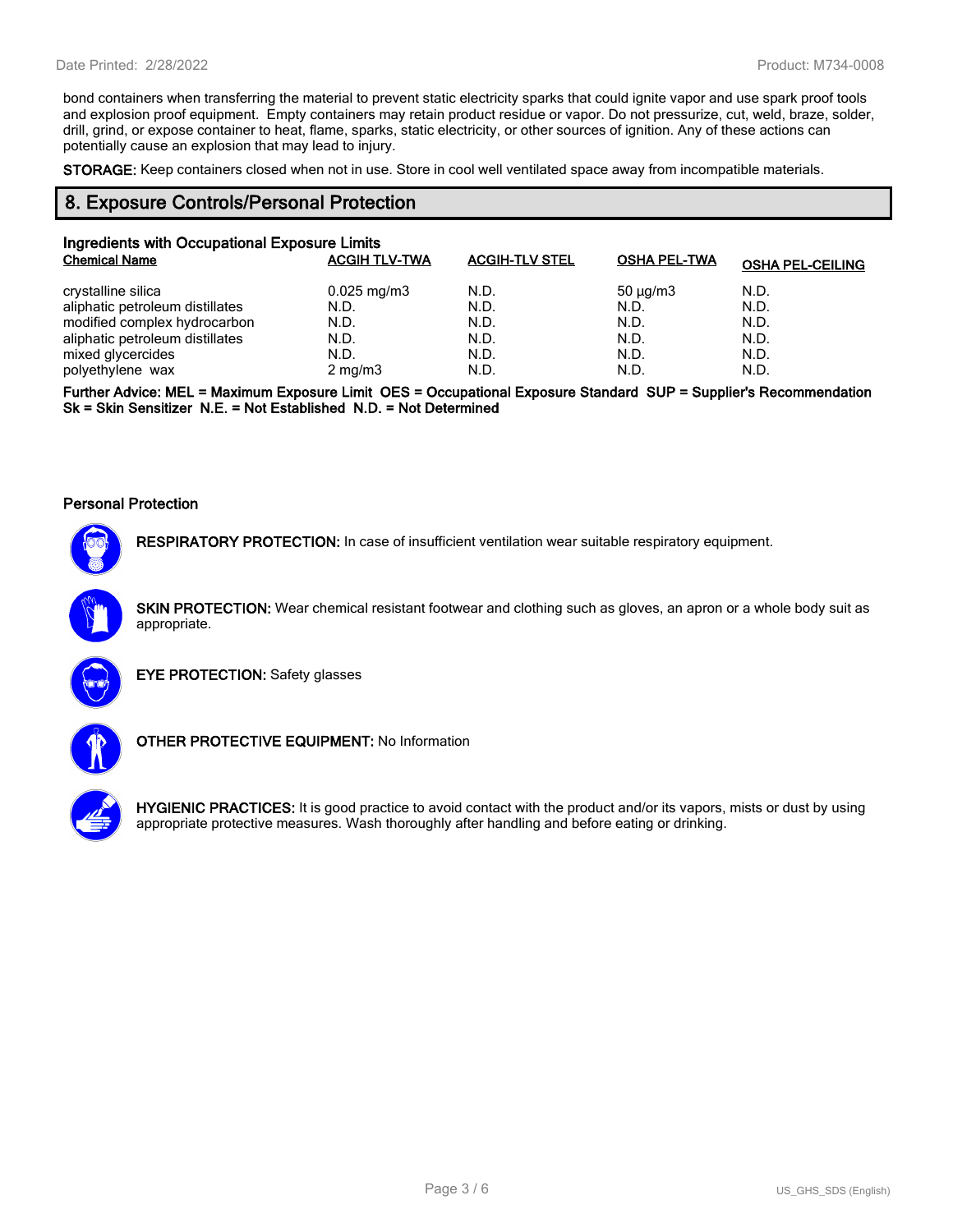bond containers when transferring the material to prevent static electricity sparks that could ignite vapor and use spark proof tools and explosion proof equipment. Empty containers may retain product residue or vapor. Do not pressurize, cut, weld, braze, solder, drill, grind, or expose container to heat, flame, sparks, static electricity, or other sources of ignition. Any of these actions can potentially cause an explosion that may lead to injury.

**STORAGE:** Keep containers closed when not in use. Store in cool well ventilated space away from incompatible materials.

## **8. Exposure Controls/Personal Protection**

| Ingredients with Occupational Exposure Limits |                         |                       |                     |                         |  |
|-----------------------------------------------|-------------------------|-----------------------|---------------------|-------------------------|--|
| <b>Chemical Name</b>                          | <b>ACGIH TLV-TWA</b>    | <b>ACGIH-TLV STEL</b> | <b>OSHA PEL-TWA</b> | <b>OSHA PEL-CEILING</b> |  |
| crystalline silica                            | $0.025 \,\mathrm{mg/m}$ | N.D.                  | $50 \mu q/m3$       | N.D.                    |  |
| aliphatic petroleum distillates               | N.D.                    | N.D.                  | N.D.                | N.D.                    |  |
| modified complex hydrocarbon                  | N.D.                    | N.D.                  | N.D.                | N.D.                    |  |
| aliphatic petroleum distillates               | N.D.                    | N.D.                  | N.D.                | N.D.                    |  |
| mixed glycercides                             | N.D.                    | N.D.                  | N.D.                | N.D.                    |  |
| polyethylene wax                              | $2 \text{ mg/m}$        | N.D.                  | N.D.                | N.D.                    |  |

**Further Advice: MEL = Maximum Exposure Limit OES = Occupational Exposure Standard SUP = Supplier's Recommendation Sk = Skin Sensitizer N.E. = Not Established N.D. = Not Determined**

#### **Personal Protection**



**RESPIRATORY PROTECTION:** In case of insufficient ventilation wear suitable respiratory equipment.

**SKIN PROTECTION:** Wear chemical resistant footwear and clothing such as gloves, an apron or a whole body suit as appropriate.



**EYE PROTECTION:** Safety glasses



**OTHER PROTECTIVE EQUIPMENT:** No Information



**HYGIENIC PRACTICES:** It is good practice to avoid contact with the product and/or its vapors, mists or dust by using appropriate protective measures. Wash thoroughly after handling and before eating or drinking.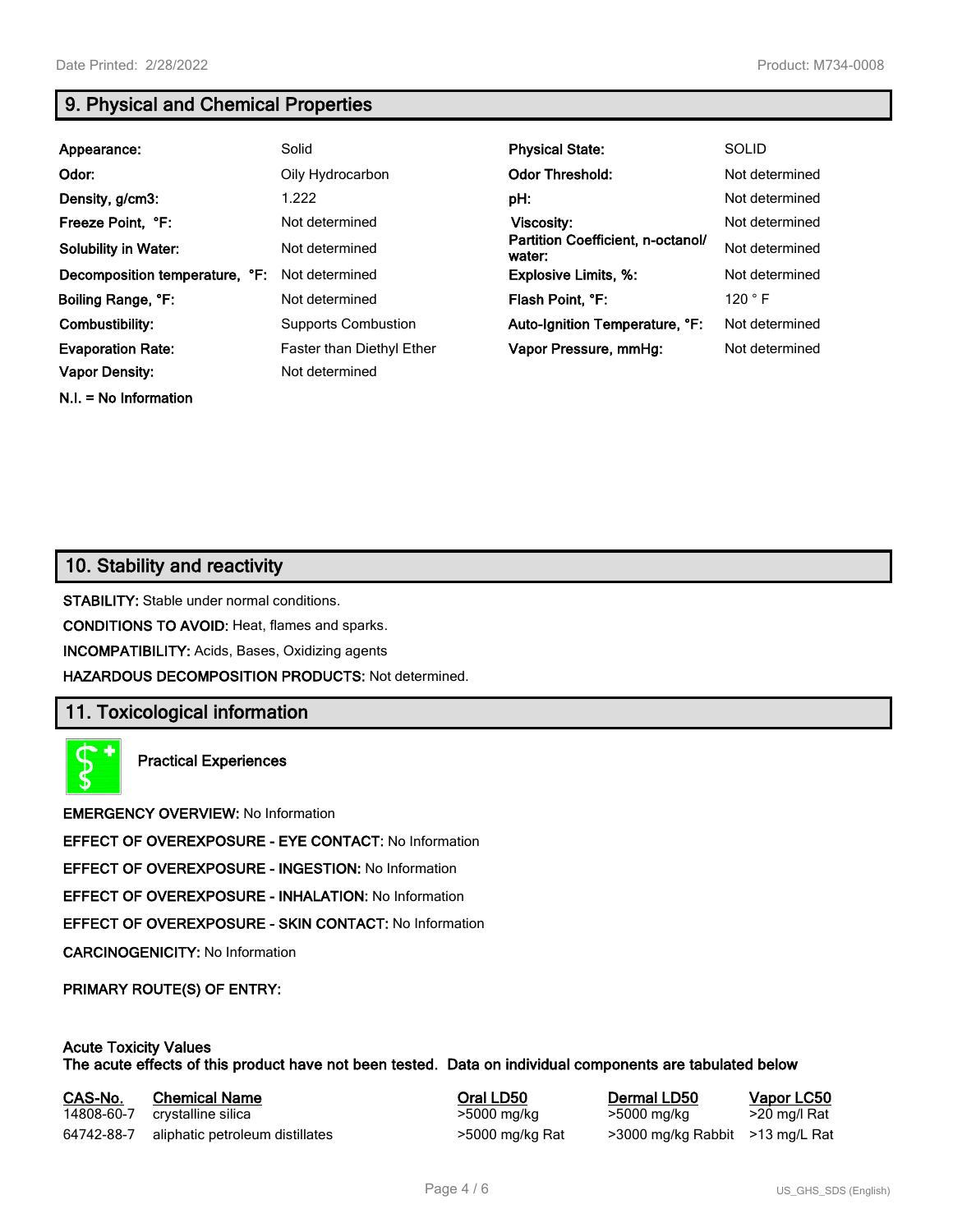**N.I. = No Information**

# **9. Physical and Chemical Properties**

| Appearance:                    | Solid                            | <b>Physical State:</b>                      | <b>SOLID</b>   |
|--------------------------------|----------------------------------|---------------------------------------------|----------------|
| Odor:                          | Oily Hydrocarbon                 | <b>Odor Threshold:</b>                      | Not determined |
| Density, g/cm3:                | 1.222                            | pH:                                         | Not determined |
| Freeze Point, °F:              | Not determined                   | Viscosity:                                  | Not determined |
| <b>Solubility in Water:</b>    | Not determined                   | Partition Coefficient, n-octanol/<br>water: | Not determined |
| Decomposition temperature, °F: | Not determined                   | <b>Explosive Limits, %:</b>                 | Not determined |
| Boiling Range, °F:             | Not determined                   | Flash Point, °F:                            | 120 °F         |
| Combustibility:                | <b>Supports Combustion</b>       | Auto-Ignition Temperature, °F:              | Not determined |
| <b>Evaporation Rate:</b>       | <b>Faster than Diethyl Ether</b> | Vapor Pressure, mmHq:                       | Not determined |
| <b>Vapor Density:</b>          | Not determined                   |                                             |                |

# **10. Stability and reactivity**

**STABILITY:** Stable under normal conditions.

**CONDITIONS TO AVOID:** Heat, flames and sparks.

**INCOMPATIBILITY:** Acids, Bases, Oxidizing agents

**HAZARDOUS DECOMPOSITION PRODUCTS:** Not determined.

## **11. Toxicological information**

**Practical Experiences**

**EMERGENCY OVERVIEW:** No Information

**EFFECT OF OVEREXPOSURE - EYE CONTACT:** No Information

**EFFECT OF OVEREXPOSURE - INGESTION:** No Information

**EFFECT OF OVEREXPOSURE - INHALATION:** No Information

**EFFECT OF OVEREXPOSURE - SKIN CONTACT:** No Information

**CARCINOGENICITY:** No Information

**PRIMARY ROUTE(S) OF ENTRY:**

## **Acute Toxicity Values The acute effects of this product have not been tested. Data on individual components are tabulated below**

| CAS-No.    | <b>Chemical Name</b>            | Oral LD50       | Dermal LD50                     | Vapor LC50   |
|------------|---------------------------------|-----------------|---------------------------------|--------------|
| 14808-60-7 | crystalline silica              | >5000 mg/kg     | >5000 mg/kg                     | >20 mg/l Rat |
| 64742-88-7 | aliphatic petroleum distillates | >5000 mg/kg Rat | >3000 mg/kg Rabbit >13 mg/L Rat |              |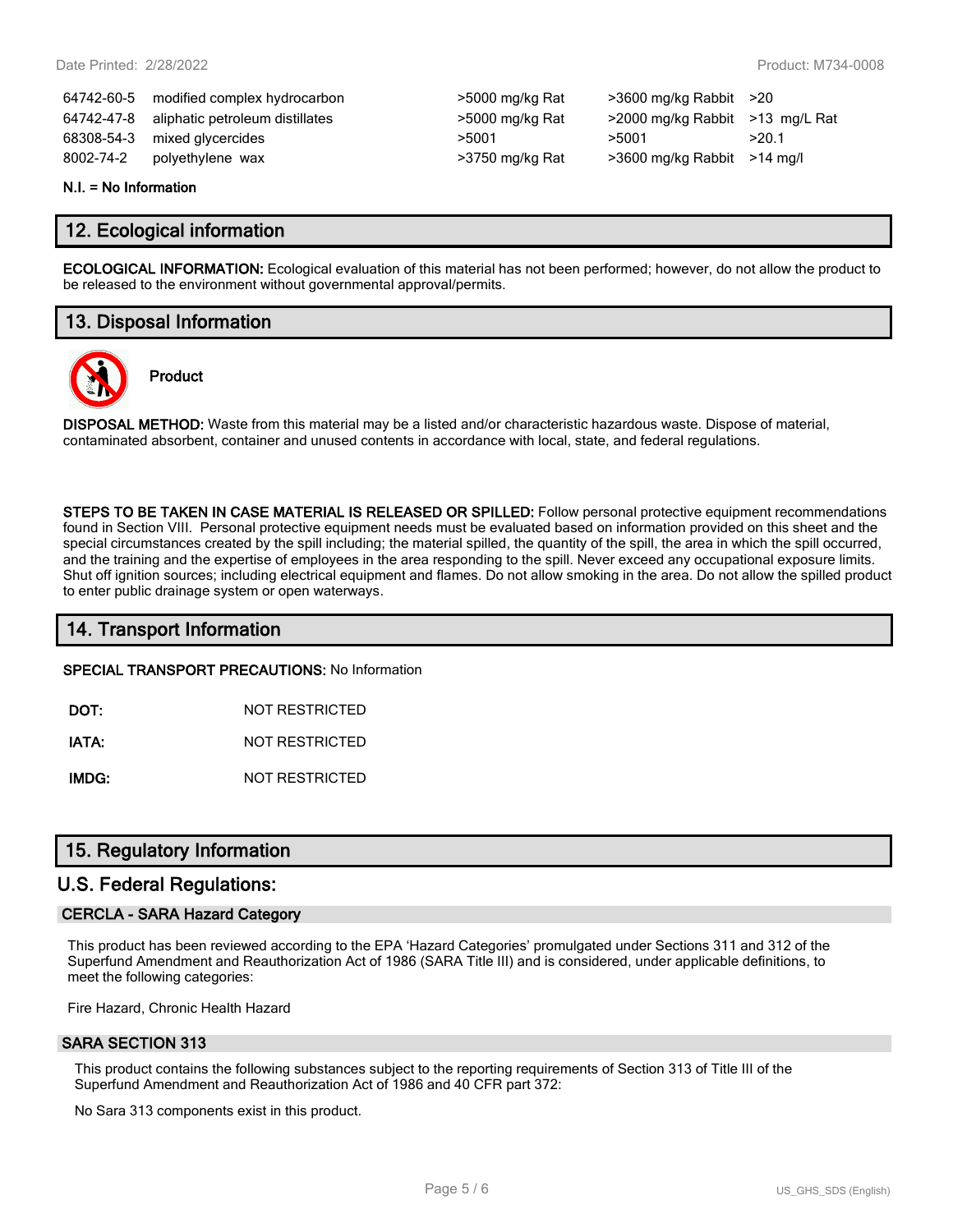64742-60-5 modified complex hydrocarbon >5000 mg/kg Rat >3600 mg/kg Rabbit >20 64742-47-8 aliphatic petroleum distillates >5000 mg/kg Rat >2000 mg/kg Rabbit >13 mg/L Rat 68308-54-3 mixed glycercides  $>5001$   $>5001$   $>5001$   $>20.1$ 8002-74-2 polyethylene wax >3750 mg/kg Rat >3600 mg/kg Rabbit >14 mg/l

| >5000 mg/kg Rat |
|-----------------|
| >5000 mg/kg Rat |
| >5001           |
| >3750 mg/kg Rat |

#### **N.I. = No Information**

## **12. Ecological information**

**ECOLOGICAL INFORMATION:** Ecological evaluation of this material has not been performed; however, do not allow the product to be released to the environment without governmental approval/permits.

# **13. Disposal Information**

**Product**



**DISPOSAL METHOD:** Waste from this material may be a listed and/or characteristic hazardous waste. Dispose of material, contaminated absorbent, container and unused contents in accordance with local, state, and federal regulations.

**STEPS TO BE TAKEN IN CASE MATERIAL IS RELEASED OR SPILLED:** Follow personal protective equipment recommendations found in Section VIII. Personal protective equipment needs must be evaluated based on information provided on this sheet and the special circumstances created by the spill including; the material spilled, the quantity of the spill, the area in which the spill occurred, and the training and the expertise of employees in the area responding to the spill. Never exceed any occupational exposure limits. Shut off ignition sources; including electrical equipment and flames. Do not allow smoking in the area. Do not allow the spilled product to enter public drainage system or open waterways.

## **14. Transport Information**

**SPECIAL TRANSPORT PRECAUTIONS:** No Information

**DOT:** NOT RESTRICTED

**IATA:** NOT RESTRICTED

**IMDG:** NOT RESTRICTED

## **15. Regulatory Information**

## **U.S. Federal Regulations:**

## **CERCLA - SARA Hazard Category**

This product has been reviewed according to the EPA 'Hazard Categories' promulgated under Sections 311 and 312 of the Superfund Amendment and Reauthorization Act of 1986 (SARA Title III) and is considered, under applicable definitions, to meet the following categories:

Fire Hazard, Chronic Health Hazard

## **SARA SECTION 313**

This product contains the following substances subject to the reporting requirements of Section 313 of Title III of the Superfund Amendment and Reauthorization Act of 1986 and 40 CFR part 372:

No Sara 313 components exist in this product.